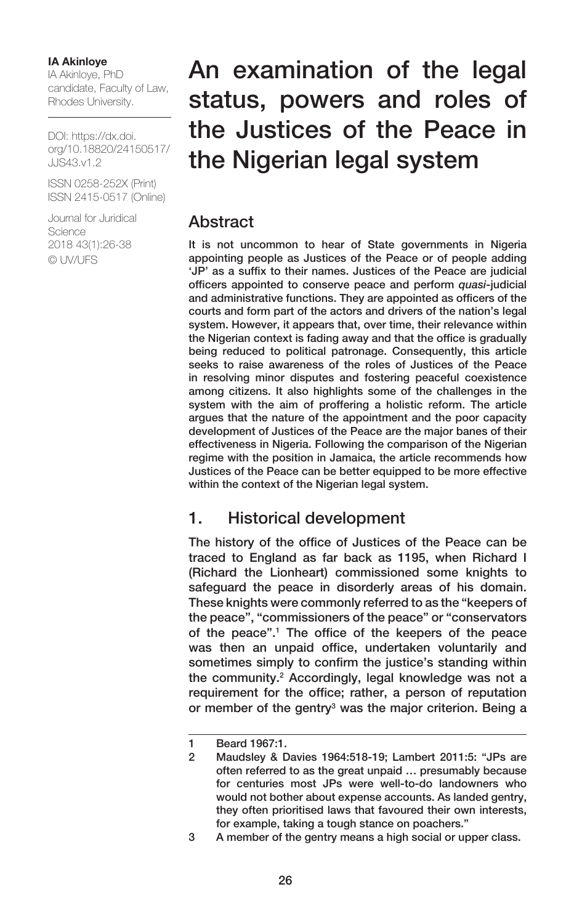#### **IA Akinloye**

IA Akinloye, PhD candidate, Faculty of Law, Rhodes University.

DOI: [https://dx.doi.](https://dx.doi.org/10.18820/24150517/JJS43.v1.2) [org/10.18820/24150517/](https://dx.doi.org/10.18820/24150517/JJS43.v1.2) [JJS43.v1.2](https://dx.doi.org/10.18820/24150517/JJS43.v1.2)

ISSN 0258-252X (Print) ISSN 2415-0517 (Online)

Journal for Juridical Science 2018 43(1):26-38 © UV/UFS

# An examination of the legal status, powers and roles of the Justices of the Peace in the Nigerian legal system

### **Abstract**

It is not uncommon to hear of State governments in Nigeria appointing people as Justices of the Peace or of people adding 'JP' as a suffix to their names. Justices of the Peace are judicial officers appointed to conserve peace and perform *quasi-*judicial and administrative functions. They are appointed as officers of the courts and form part of the actors and drivers of the nation's legal system. However, it appears that, over time, their relevance within the Nigerian context is fading away and that the office is gradually being reduced to political patronage. Consequently, this article seeks to raise awareness of the roles of Justices of the Peace in resolving minor disputes and fostering peaceful coexistence among citizens. It also highlights some of the challenges in the system with the aim of proffering a holistic reform. The article argues that the nature of the appointment and the poor capacity development of Justices of the Peace are the major banes of their effectiveness in Nigeria. Following the comparison of the Nigerian regime with the position in Jamaica, the article recommends how Justices of the Peace can be better equipped to be more effective within the context of the Nigerian legal system.

# 1. Historical development

The history of the office of Justices of the Peace can be traced to England as far back as 1195, when Richard I (Richard the Lionheart) commissioned some knights to safeguard the peace in disorderly areas of his domain. These knights were commonly referred to as the "keepers of the peace", "commissioners of the peace" or "conservators of the peace".1 The office of the keepers of the peace was then an unpaid office, undertaken voluntarily and sometimes simply to confirm the justice's standing within the community.2 Accordingly, legal knowledge was not a requirement for the office; rather, a person of reputation or member of the gentry<sup>3</sup> was the major criterion. Being a

<sup>1</sup> Beard 1967:1.

<sup>2</sup> Maudsley & Davies 1964:518-19; Lambert 2011:5: "JPs are often referred to as the great unpaid … presumably because for centuries most JPs were well-to-do landowners who would not bother about expense accounts. As landed gentry, they often prioritised laws that favoured their own interests, for example, taking a tough stance on poachers."

<sup>3</sup> A member of the gentry means a high social or upper class.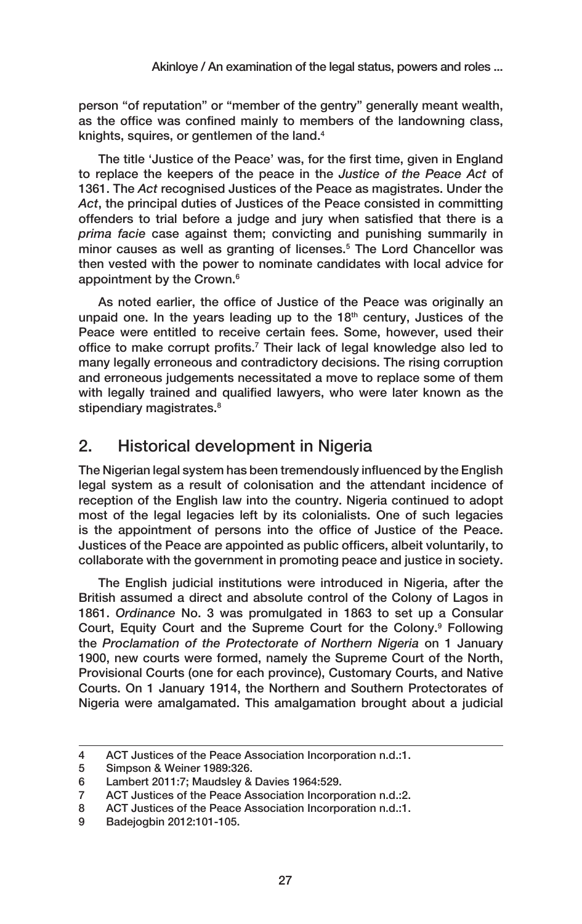person "of reputation" or "member of the gentry" generally meant wealth, as the office was confined mainly to members of the landowning class, knights, squires, or gentlemen of the land.4

The title 'Justice of the Peace' was, for the first time, given in England to replace the keepers of the peace in the *Justice of the Peace Act* of 1361. The *Act* recognised Justices of the Peace as magistrates. Under the *Act*, the principal duties of Justices of the Peace consisted in committing offenders to trial before a judge and jury when satisfied that there is a *prima facie* case against them; convicting and punishing summarily in minor causes as well as granting of licenses.5 The Lord Chancellor was then vested with the power to nominate candidates with local advice for appointment by the Crown.<sup>6</sup>

As noted earlier, the office of Justice of the Peace was originally an unpaid one. In the years leading up to the  $18<sup>th</sup>$  century, Justices of the Peace were entitled to receive certain fees. Some, however, used their office to make corrupt profits.<sup>7</sup> Their lack of legal knowledge also led to many legally erroneous and contradictory decisions. The rising corruption and erroneous judgements necessitated a move to replace some of them with legally trained and qualified lawyers, who were later known as the stipendiary magistrates.<sup>8</sup>

# 2. Historical development in Nigeria

The Nigerian legal system has been tremendously influenced by the English legal system as a result of colonisation and the attendant incidence of reception of the English law into the country. Nigeria continued to adopt most of the legal legacies left by its colonialists. One of such legacies is the appointment of persons into the office of Justice of the Peace. Justices of the Peace are appointed as public officers, albeit voluntarily, to collaborate with the government in promoting peace and justice in society.

The English judicial institutions were introduced in Nigeria, after the British assumed a direct and absolute control of the Colony of Lagos in 1861. *Ordinance* No. 3 was promulgated in 1863 to set up a Consular Court, Equity Court and the Supreme Court for the Colony.<sup>9</sup> Following the *Proclamation of the Protectorate of Northern Nigeria* on 1 January 1900, new courts were formed, namely the Supreme Court of the North, Provisional Courts (one for each province), Customary Courts, and Native Courts. On 1 January 1914, the Northern and Southern Protectorates of Nigeria were amalgamated. This amalgamation brought about a judicial

<sup>4</sup> ACT Justices of the Peace Association Incorporation n.d.:1.

<sup>5</sup> Simpson & Weiner 1989:326.

<sup>6</sup> Lambert 2011:7; Maudsley & Davies 1964:529.

<sup>7</sup> ACT Justices of the Peace Association Incorporation n.d.:2.

<sup>8</sup> ACT Justices of the Peace Association Incorporation n.d.:1.

<sup>9</sup> Badejogbin 2012:101-105.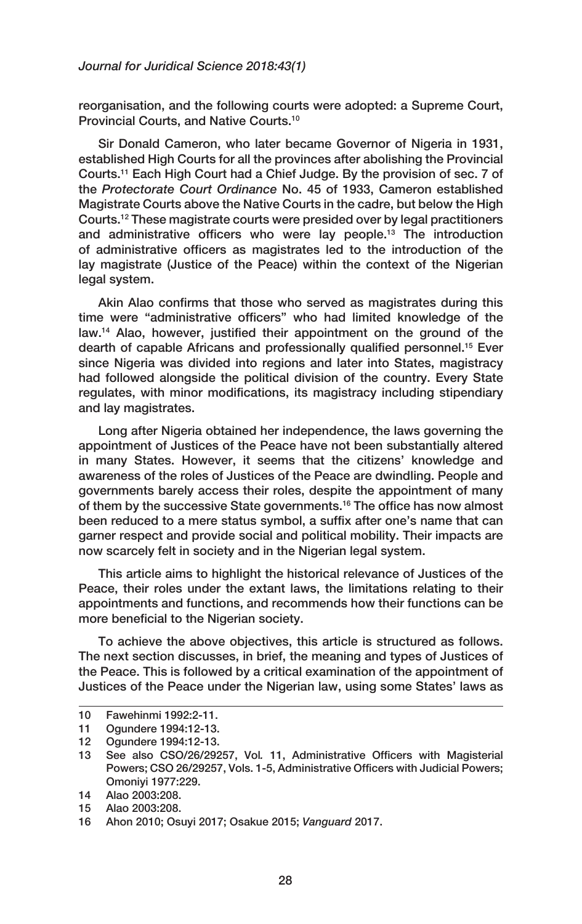reorganisation, and the following courts were adopted: a Supreme Court, Provincial Courts, and Native Courts.10

Sir Donald Cameron, who later became Governor of Nigeria in 1931, established High Courts for all the provinces after abolishing the Provincial Courts.11 Each High Court had a Chief Judge. By the provision of sec. 7 of the *Protectorate Court Ordinance* No. 45 of 1933, Cameron established Magistrate Courts above the Native Courts in the cadre, but below the High Courts.12 These magistrate courts were presided over by legal practitioners and administrative officers who were lay people.<sup>13</sup> The introduction of administrative officers as magistrates led to the introduction of the lay magistrate (Justice of the Peace) within the context of the Nigerian legal system.

Akin Alao confirms that those who served as magistrates during this time were "administrative officers" who had limited knowledge of the law.14 Alao, however, justified their appointment on the ground of the dearth of capable Africans and professionally qualified personnel.15 Ever since Nigeria was divided into regions and later into States, magistracy had followed alongside the political division of the country. Every State regulates, with minor modifications, its magistracy including stipendiary and lay magistrates.

Long after Nigeria obtained her independence, the laws governing the appointment of Justices of the Peace have not been substantially altered in many States. However, it seems that the citizens' knowledge and awareness of the roles of Justices of the Peace are dwindling. People and governments barely access their roles, despite the appointment of many of them by the successive State governments.<sup>16</sup> The office has now almost been reduced to a mere status symbol, a suffix after one's name that can garner respect and provide social and political mobility. Their impacts are now scarcely felt in society and in the Nigerian legal system.

This article aims to highlight the historical relevance of Justices of the Peace, their roles under the extant laws, the limitations relating to their appointments and functions, and recommends how their functions can be more beneficial to the Nigerian society.

To achieve the above objectives, this article is structured as follows. The next section discusses, in brief, the meaning and types of Justices of the Peace. This is followed by a critical examination of the appointment of Justices of the Peace under the Nigerian law, using some States' laws as

<sup>10</sup> Fawehinmi 1992:2-11.

<sup>11</sup> Ogundere 1994:12-13.

<sup>12</sup> Ogundere 1994:12-13.

<sup>13</sup> See also CSO*/*26/29257, Vol*.* 11, Administrative Officers with Magisterial Powers; CSO 26/29257, Vols. 1-5, Administrative Officers with Judicial Powers; Omoniyi 1977:229.

<sup>14</sup> Alao 2003:208.

<sup>15</sup> Alao 2003:208.

<sup>16</sup> Ahon 2010; Osuyi 2017; [Osakue](http://nigerianobservernews.com/byline/by-roland-osakue/) 2015; *Vanguard* 2017.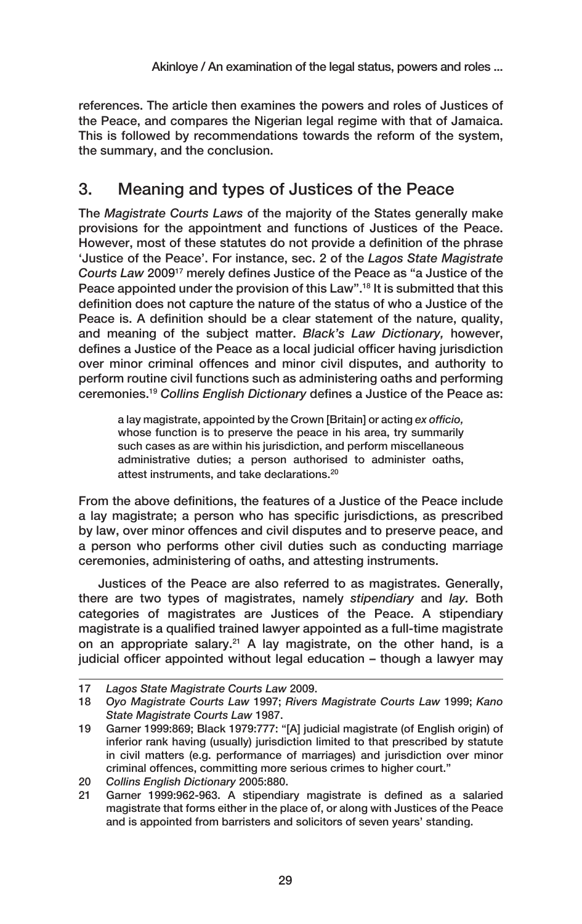references. The article then examines the powers and roles of Justices of the Peace, and compares the Nigerian legal regime with that of Jamaica. This is followed by recommendations towards the reform of the system, the summary, and the conclusion.

# 3. Meaning and types of Justices of the Peace

The *Magistrate Courts Laws* of the majority of the States generally make provisions for the appointment and functions of Justices of the Peace. However, most of these statutes do not provide a definition of the phrase 'Justice of the Peace'. For instance, sec. 2 of the *Lagos State Magistrate Courts Law* 200917 merely defines Justice of the Peace as "a Justice of the Peace appointed under the provision of this Law".18 It is submitted that this definition does not capture the nature of the status of who a Justice of the Peace is. A definition should be a clear statement of the nature, quality, and meaning of the subject matter. *Black's Law Dictionary,* however, defines a Justice of the Peace as a local judicial officer having jurisdiction over minor criminal offences and minor civil disputes, and authority to perform routine civil functions such as administering oaths and performing ceremonies.19 *Collins English Dictionary* defines a Justice of the Peace as:

a lay magistrate, appointed by the Crown [Britain] or acting *ex officio,*  whose function is to preserve the peace in his area, try summarily such cases as are within his jurisdiction, and perform miscellaneous administrative duties; a person authorised to administer oaths, attest instruments, and take declarations.20

From the above definitions, the features of a Justice of the Peace include a lay magistrate; a person who has specific jurisdictions, as prescribed by law, over minor offences and civil disputes and to preserve peace, and a person who performs other civil duties such as conducting marriage ceremonies, administering of oaths, and attesting instruments.

Justices of the Peace are also referred to as magistrates. Generally, there are two types of magistrates, namely *stipendiary* and *lay.* Both categories of magistrates are Justices of the Peace. A stipendiary magistrate is a qualified trained lawyer appointed as a full-time magistrate on an appropriate salary.<sup>21</sup> A lay magistrate, on the other hand, is a judicial officer appointed without legal education – though a lawyer may

<sup>17</sup> *Lagos State Magistrate Courts Law* 2009.

<sup>18</sup> *Oyo Magistrate Courts Law* 1997; *Rivers Magistrate Courts Law* 1999; *Kano State Magistrate Courts Law* 1987.

<sup>19</sup> Garner 1999:869; Black 1979:777: "[A] judicial magistrate (of English origin) of inferior rank having (usually) jurisdiction limited to that prescribed by statute in civil matters (e.g. performance of marriages) and jurisdiction over minor criminal offences, committing more serious crimes to higher court."

<sup>20</sup> *Collins English Dictionary* 2005:880.

<sup>21</sup> Garner 1999:962-963. A stipendiary magistrate is defined as a salaried magistrate that forms either in the place of, or along with Justices of the Peace and is appointed from barristers and solicitors of seven years' standing.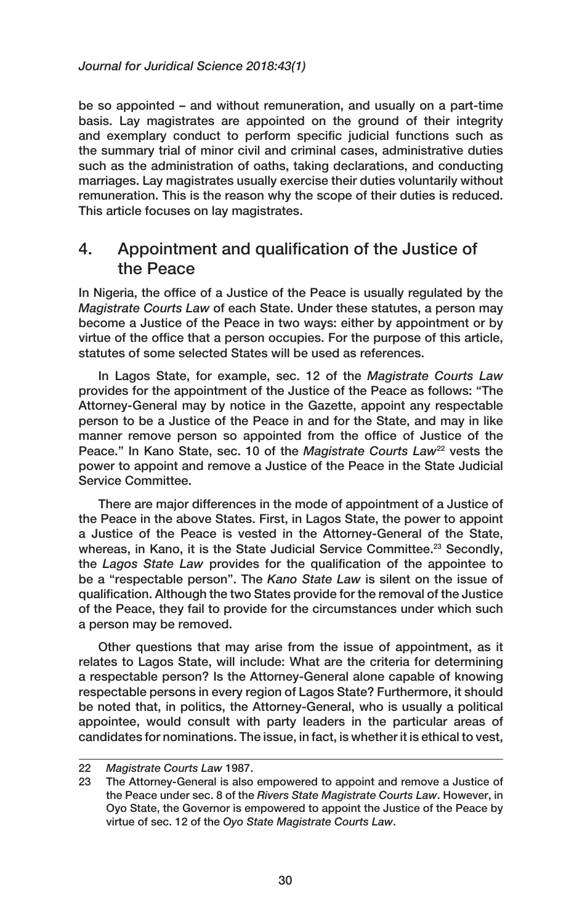be so appointed – and without remuneration, and usually on a part-time basis. Lay magistrates are appointed on the ground of their integrity and exemplary conduct to perform specific judicial functions such as the summary trial of minor civil and criminal cases, administrative duties such as the administration of oaths, taking declarations, and conducting marriages. Lay magistrates usually exercise their duties voluntarily without remuneration. This is the reason why the scope of their duties is reduced. This article focuses on lay magistrates.

### 4. Appointment and qualification of the Justice of the Peace

In Nigeria, the office of a Justice of the Peace is usually regulated by the *Magistrate Courts Law* of each State. Under these statutes, a person may become a Justice of the Peace in two ways: either by appointment or by virtue of the office that a person occupies. For the purpose of this article, statutes of some selected States will be used as references.

In Lagos State, for example, sec. 12 of the *Magistrate Courts Law* provides for the appointment of the Justice of the Peace as follows: "The Attorney-General may by notice in the Gazette, appoint any respectable person to be a Justice of the Peace in and for the State, and may in like manner remove person so appointed from the office of Justice of the Peace." In Kano State, sec. 10 of the *Magistrate Courts Law*<sup>22</sup> vests the power to appoint and remove a Justice of the Peace in the State Judicial Service Committee.

There are major differences in the mode of appointment of a Justice of the Peace in the above States. First, in Lagos State, the power to appoint a Justice of the Peace is vested in the Attorney-General of the State, whereas, in Kano, it is the State Judicial Service Committee.<sup>23</sup> Secondly, the *Lagos State Law* provides for the qualification of the appointee to be a "respectable person". The *Kano State Law* is silent on the issue of qualification. Although the two States provide for the removal of the Justice of the Peace, they fail to provide for the circumstances under which such a person may be removed.

Other questions that may arise from the issue of appointment, as it relates to Lagos State, will include: What are the criteria for determining a respectable person? Is the Attorney-General alone capable of knowing respectable persons in every region of Lagos State? Furthermore, it should be noted that, in politics, the Attorney-General, who is usually a political appointee, would consult with party leaders in the particular areas of candidates for nominations. The issue, in fact, is whether it is ethical to vest,

<sup>22</sup> *Magistrate Courts Law* 1987.

<sup>23</sup> The Attorney-General is also empowered to appoint and remove a Justice of the Peace under sec. 8 of the *Rivers State Magistrate Courts Law*. However, in Oyo State, the Governor is empowered to appoint the Justice of the Peace by virtue of sec. 12 of the *Oyo State Magistrate Courts Law*.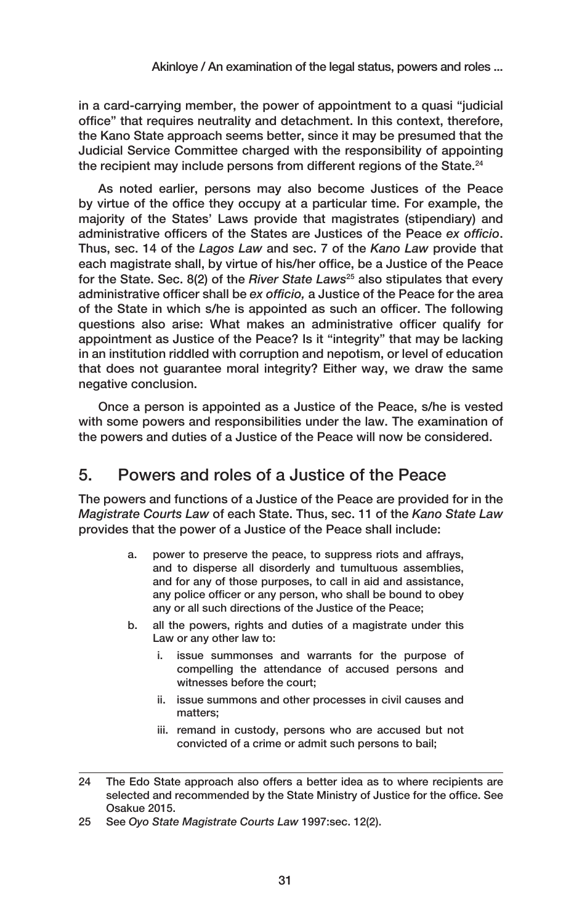in a card-carrying member, the power of appointment to a quasi "judicial office" that requires neutrality and detachment. In this context, therefore, the Kano State approach seems better, since it may be presumed that the Judicial Service Committee charged with the responsibility of appointing the recipient may include persons from different regions of the State.<sup>24</sup>

As noted earlier, persons may also become Justices of the Peace by virtue of the office they occupy at a particular time. For example, the majority of the States' Laws provide that magistrates (stipendiary) and administrative officers of the States are Justices of the Peace *ex officio*. Thus, sec. 14 of the *Lagos Law* and sec. 7 of the *Kano Law* provide that each magistrate shall, by virtue of his/her office, be a Justice of the Peace for the State. Sec. 8(2) of the *River State Laws*25 also stipulates that every administrative officer shall be *ex officio,* a Justice of the Peace for the area of the State in which s/he is appointed as such an officer. The following questions also arise: What makes an administrative officer qualify for appointment as Justice of the Peace? Is it "integrity" that may be lacking in an institution riddled with corruption and nepotism, or level of education that does not guarantee moral integrity? Either way, we draw the same negative conclusion.

Once a person is appointed as a Justice of the Peace, s/he is vested with some powers and responsibilities under the law. The examination of the powers and duties of a Justice of the Peace will now be considered.

# 5. Powers and roles of a Justice of the Peace

The powers and functions of a Justice of the Peace are provided for in the *Magistrate Courts Law* of each State. Thus, sec. 11 of the *Kano State Law* provides that the power of a Justice of the Peace shall include:

- a. power to preserve the peace, to suppress riots and affrays, and to disperse all disorderly and tumultuous assemblies, and for any of those purposes, to call in aid and assistance, any police officer or any person, who shall be bound to obey any or all such directions of the Justice of the Peace;
- b. all the powers, rights and duties of a magistrate under this Law or any other law to:
	- issue summonses and warrants for the purpose of compelling the attendance of accused persons and witnesses before the court;
	- ii. issue summons and other processes in civil causes and matters;
	- iii. remand in custody, persons who are accused but not convicted of a crime or admit such persons to bail;

<sup>24</sup> The Edo State approach also offers a better idea as to where recipients are selected and recommended by the State Ministry of Justice for the office. See Osakue 2015.

<sup>25</sup> See *Oyo State Magistrate Courts Law* 1997:sec. 12(2).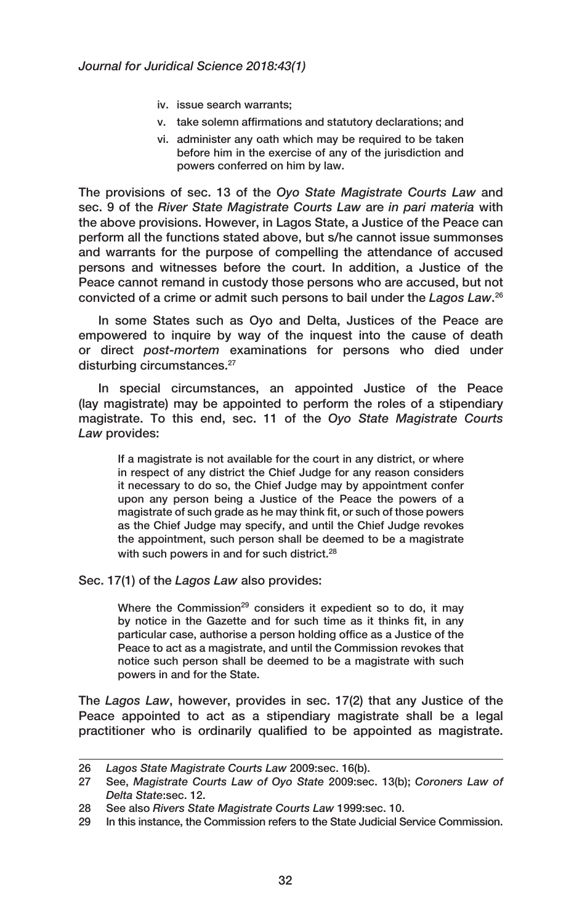- iv. issue search warrants;
- v. take solemn affirmations and statutory declarations; and
- vi. administer any oath which may be required to be taken before him in the exercise of any of the jurisdiction and powers conferred on him by law.

The provisions of sec. 13 of the *Oyo State Magistrate Courts Law* and sec. 9 of the *River State Magistrate Courts Law* are *in pari materia* with the above provisions. However, in Lagos State, a Justice of the Peace can perform all the functions stated above, but s/he cannot issue summonses and warrants for the purpose of compelling the attendance of accused persons and witnesses before the court. In addition, a Justice of the Peace cannot remand in custody those persons who are accused, but not convicted of a crime or admit such persons to bail under the *Lagos Law*. 26

In some States such as Oyo and Delta, Justices of the Peace are empowered to inquire by way of the inquest into the cause of death or direct *post-mortem* examinations for persons who died under disturbing circumstances.<sup>27</sup>

In special circumstances, an appointed Justice of the Peace (lay magistrate) may be appointed to perform the roles of a stipendiary magistrate. To this end, sec. 11 of the *Oyo State Magistrate Courts Law* provides:

If a magistrate is not available for the court in any district, or where in respect of any district the Chief Judge for any reason considers it necessary to do so, the Chief Judge may by appointment confer upon any person being a Justice of the Peace the powers of a magistrate of such grade as he may think fit, or such of those powers as the Chief Judge may specify, and until the Chief Judge revokes the appointment, such person shall be deemed to be a magistrate with such powers in and for such district.<sup>28</sup>

Sec. 17(1) of the *Lagos Law* also provides:

Where the Commission<sup>29</sup> considers it expedient so to do, it may by notice in the Gazette and for such time as it thinks fit, in any particular case, authorise a person holding office as a Justice of the Peace to act as a magistrate, and until the Commission revokes that notice such person shall be deemed to be a magistrate with such powers in and for the State.

The *Lagos Law*, however, provides in sec. 17(2) that any Justice of the Peace appointed to act as a stipendiary magistrate shall be a legal practitioner who is ordinarily qualified to be appointed as magistrate.

<sup>26</sup> *Lagos State Magistrate Courts Law* 2009:sec. 16(b).

<sup>27</sup> See, *Magistrate Courts Law of Oyo State* 2009:sec. 13(b); *Coroners Law of Delta State*:sec. 12.

<sup>28</sup> See also *Rivers State Magistrate Courts Law* 1999:sec. 10.

<sup>29</sup> In this instance, the Commission refers to the State Judicial Service Commission.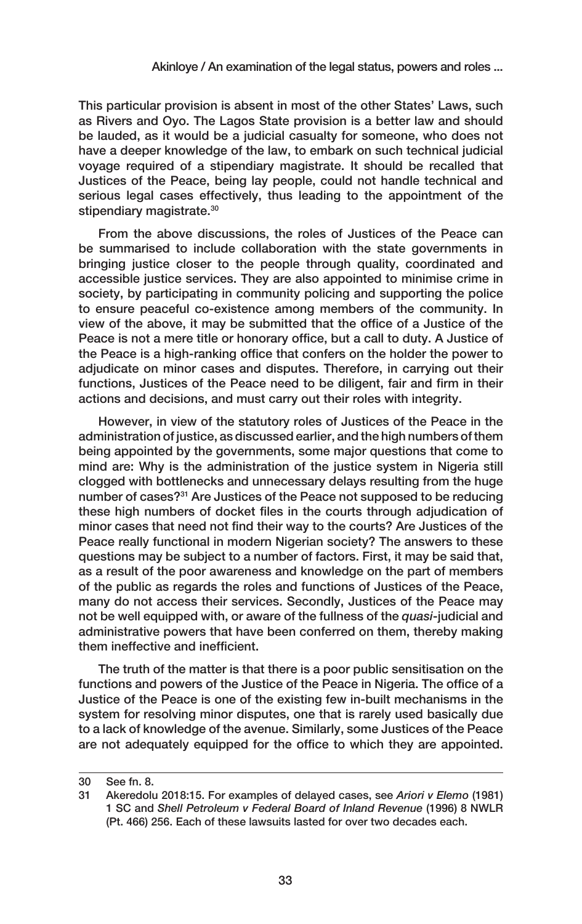This particular provision is absent in most of the other States' Laws, such as Rivers and Oyo. The Lagos State provision is a better law and should be lauded, as it would be a judicial casualty for someone, who does not have a deeper knowledge of the law, to embark on such technical judicial voyage required of a stipendiary magistrate. It should be recalled that Justices of the Peace, being lay people, could not handle technical and serious legal cases effectively, thus leading to the appointment of the stipendiary magistrate.<sup>30</sup>

From the above discussions, the roles of Justices of the Peace can be summarised to include collaboration with the state governments in bringing justice closer to the people through quality, coordinated and accessible justice services. They are also appointed to minimise crime in society, by participating in community policing and supporting the police to ensure peaceful co-existence among members of the community. In view of the above, it may be submitted that the office of a Justice of the Peace is not a mere title or honorary office, but a call to duty. A Justice of the Peace is a high-ranking office that confers on the holder the power to adjudicate on minor cases and disputes. Therefore, in carrying out their functions, Justices of the Peace need to be diligent, fair and firm in their actions and decisions, and must carry out their roles with integrity.

However, in view of the statutory roles of Justices of the Peace in the administration of justice, as discussed earlier, and the high numbers of them being appointed by the governments, some major questions that come to mind are: Why is the administration of the justice system in Nigeria still clogged with bottlenecks and unnecessary delays resulting from the huge number of cases?<sup>31</sup> Are Justices of the Peace not supposed to be reducing these high numbers of docket files in the courts through adjudication of minor cases that need not find their way to the courts? Are Justices of the Peace really functional in modern Nigerian society? The answers to these questions may be subject to a number of factors. First, it may be said that, as a result of the poor awareness and knowledge on the part of members of the public as regards the roles and functions of Justices of the Peace, many do not access their services. Secondly, Justices of the Peace may not be well equipped with, or aware of the fullness of the *quasi*-judicial and administrative powers that have been conferred on them, thereby making them ineffective and inefficient.

The truth of the matter is that there is a poor public sensitisation on the functions and powers of the Justice of the Peace in Nigeria. The office of a Justice of the Peace is one of the existing few in-built mechanisms in the system for resolving minor disputes, one that is rarely used basically due to a lack of knowledge of the avenue. Similarly, some Justices of the Peace are not adequately equipped for the office to which they are appointed.

<sup>30</sup> See fn. 8.

<sup>31</sup> Akeredolu 2018:15. For examples of delayed cases, see *Ariori v Elemo* (1981) 1 SC and *Shell Petroleum v Federal Board of Inland Revenue* (1996) 8 NWLR (Pt. 466) 256. Each of these lawsuits lasted for over two decades each.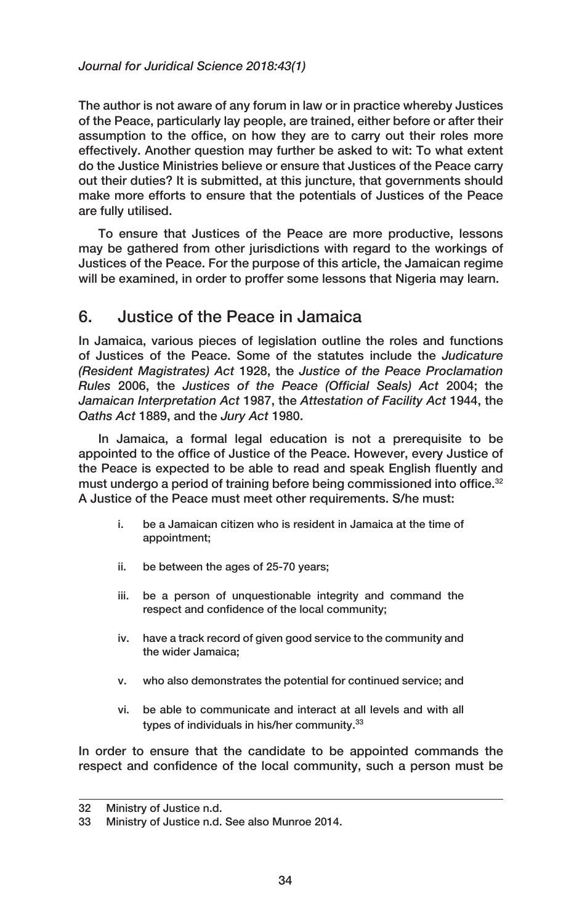The author is not aware of any forum in law or in practice whereby Justices of the Peace, particularly lay people, are trained, either before or after their assumption to the office, on how they are to carry out their roles more effectively. Another question may further be asked to wit: To what extent do the Justice Ministries believe or ensure that Justices of the Peace carry out their duties? It is submitted, at this juncture, that governments should make more efforts to ensure that the potentials of Justices of the Peace are fully utilised.

To ensure that Justices of the Peace are more productive, lessons may be gathered from other jurisdictions with regard to the workings of Justices of the Peace. For the purpose of this article, the Jamaican regime will be examined, in order to proffer some lessons that Nigeria may learn.

# 6. Justice of the Peace in Jamaica

In Jamaica, various pieces of legislation outline the roles and functions of Justices of the Peace. Some of the statutes include the *Judicature (Resident Magistrates) Act* 1928, the *Justice of the Peace Proclamation Rules* 2006, the *Justices of the Peace (Official Seals) Act* 2004; the *Jamaican Interpretation Act* 1987, the *Attestation of Facility Act* 1944, the *Oaths Act* 1889, and the *Jury Act* 1980.

In Jamaica, a formal legal education is not a prerequisite to be appointed to the office of Justice of the Peace. However, every Justice of the Peace is expected to be able to read and speak English fluently and must undergo a period of training before being commissioned into office.<sup>32</sup> A Justice of the Peace must meet other requirements. S/he must:

- i. be a Jamaican citizen who is resident in Jamaica at the time of appointment;
- ii. be between the ages of 25-70 years;
- iii. be a person of unquestionable integrity and command the respect and confidence of the local community;
- iv. have a track record of given good service to the community and the wider Jamaica;
- v. who also demonstrates the potential for continued service; and
- vi. be able to communicate and interact at all levels and with all types of individuals in his/her community.<sup>33</sup>

In order to ensure that the candidate to be appointed commands the respect and confidence of the local community, such a person must be

<sup>32</sup> Ministry of Justice n.d.

<sup>33</sup> Ministry of Justice n.d. See also Munroe 2014.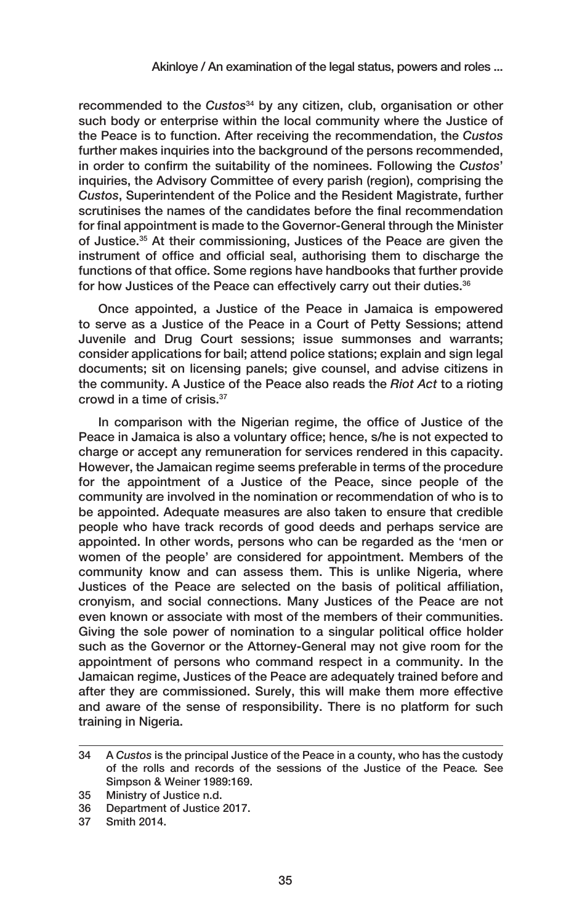recommended to the *Custos*34 by any citizen, club, organisation or other such body or enterprise within the local community where the Justice of the Peace is to function. After receiving the recommendation, the *Custos*  further makes inquiries into the background of the persons recommended, in order to confirm the suitability of the nominees. Following the *Custos*' inquiries, the Advisory Committee of every parish (region), comprising the *Custos*, Superintendent of the Police and the Resident Magistrate, further scrutinises the names of the candidates before the final recommendation for final appointment is made to the Governor-General through the Minister of Justice.<sup>35</sup> At their commissioning, Justices of the Peace are given the instrument of office and official seal, authorising them to discharge the functions of that office. Some regions have handbooks that further provide for how Justices of the Peace can effectively carry out their duties.<sup>36</sup>

Once appointed, a Justice of the Peace in Jamaica is empowered to serve as a Justice of the Peace in a Court of Petty Sessions; attend Juvenile and Drug Court sessions; issue summonses and warrants; consider applications for bail; attend police stations; explain and sign legal documents; sit on licensing panels; give counsel, and advise citizens in the community. A Justice of the Peace also reads the *Riot Act* to a rioting crowd in a time of crisis.37

In comparison with the Nigerian regime, the office of Justice of the Peace in Jamaica is also a voluntary office; hence, s/he is not expected to charge or accept any remuneration for services rendered in this capacity. However, the Jamaican regime seems preferable in terms of the procedure for the appointment of a Justice of the Peace, since people of the community are involved in the nomination or recommendation of who is to be appointed. Adequate measures are also taken to ensure that credible people who have track records of good deeds and perhaps service are appointed. In other words, persons who can be regarded as the 'men or women of the people' are considered for appointment. Members of the community know and can assess them. This is unlike Nigeria, where Justices of the Peace are selected on the basis of political affiliation, cronyism, and social connections. Many Justices of the Peace are not even known or associate with most of the members of their communities. Giving the sole power of nomination to a singular political office holder such as the Governor or the Attorney-General may not give room for the appointment of persons who command respect in a community. In the Jamaican regime, Justices of the Peace are adequately trained before and after they are commissioned. Surely, this will make them more effective and aware of the sense of responsibility. There is no platform for such training in Nigeria.

<sup>34</sup> A *Custos* is the principal Justice of the Peace in a county, who has the custody of the rolls and records of the sessions of the Justice of the Peace*.* See Simpson & Weiner 1989:169.

<sup>35</sup> Ministry of Justice n.d.

<sup>36</sup> Department of Justice 2017.

<sup>37</sup> Smith 2014.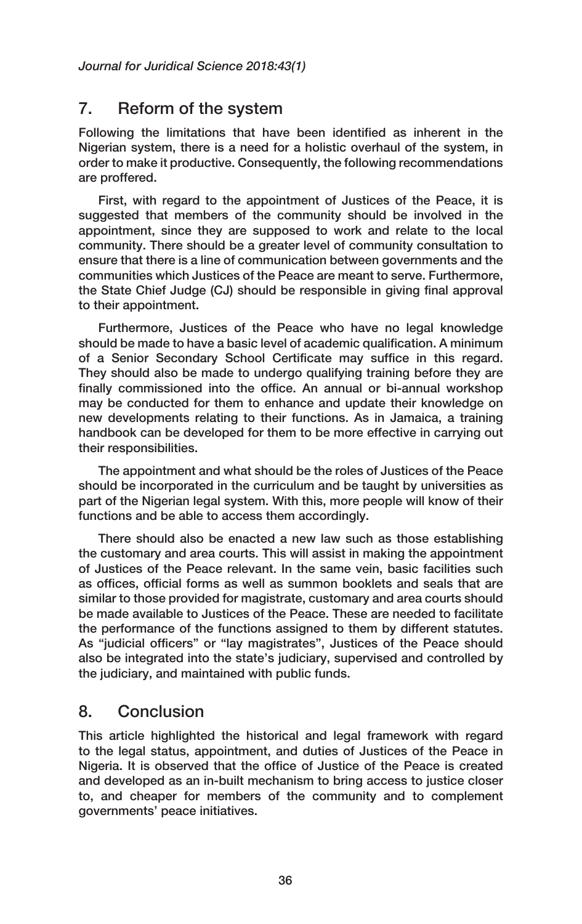### 7. Reform of the system

Following the limitations that have been identified as inherent in the Nigerian system, there is a need for a holistic overhaul of the system, in order to make it productive. Consequently, the following recommendations are proffered.

First, with regard to the appointment of Justices of the Peace, it is suggested that members of the community should be involved in the appointment, since they are supposed to work and relate to the local community. There should be a greater level of community consultation to ensure that there is a line of communication between governments and the communities which Justices of the Peace are meant to serve. Furthermore, the State Chief Judge (CJ) should be responsible in giving final approval to their appointment.

Furthermore, Justices of the Peace who have no legal knowledge should be made to have a basic level of academic qualification. A minimum of a Senior Secondary School Certificate may suffice in this regard. They should also be made to undergo qualifying training before they are finally commissioned into the office. An annual or bi-annual workshop may be conducted for them to enhance and update their knowledge on new developments relating to their functions. As in Jamaica, a training handbook can be developed for them to be more effective in carrying out their responsibilities.

The appointment and what should be the roles of Justices of the Peace should be incorporated in the curriculum and be taught by universities as part of the Nigerian legal system. With this, more people will know of their functions and be able to access them accordingly.

There should also be enacted a new law such as those establishing the customary and area courts. This will assist in making the appointment of Justices of the Peace relevant. In the same vein, basic facilities such as offices, official forms as well as summon booklets and seals that are similar to those provided for magistrate, customary and area courts should be made available to Justices of the Peace. These are needed to facilitate the performance of the functions assigned to them by different statutes. As "judicial officers" or "lay magistrates", Justices of the Peace should also be integrated into the state's judiciary, supervised and controlled by the judiciary, and maintained with public funds.

### 8. Conclusion

This article highlighted the historical and legal framework with regard to the legal status, appointment, and duties of Justices of the Peace in Nigeria. It is observed that the office of Justice of the Peace is created and developed as an in-built mechanism to bring access to justice closer to, and cheaper for members of the community and to complement governments' peace initiatives.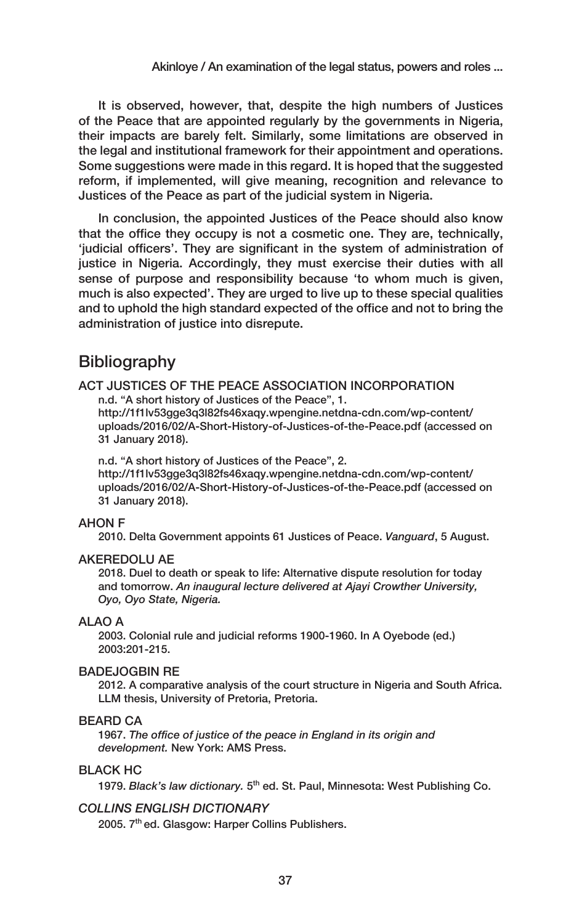It is observed, however, that, despite the high numbers of Justices of the Peace that are appointed regularly by the governments in Nigeria, their impacts are barely felt. Similarly, some limitations are observed in the legal and institutional framework for their appointment and operations. Some suggestions were made in this regard. It is hoped that the suggested reform, if implemented, will give meaning, recognition and relevance to Justices of the Peace as part of the judicial system in Nigeria.

In conclusion, the appointed Justices of the Peace should also know that the office they occupy is not a cosmetic one. They are, technically, 'judicial officers'. They are significant in the system of administration of justice in Nigeria. Accordingly, they must exercise their duties with all sense of purpose and responsibility because 'to whom much is given, much is also expected'. They are urged to live up to these special qualities and to uphold the high standard expected of the office and not to bring the administration of justice into disrepute.

### **Bibliography**

#### ACT JUSTICES OF THE PEACE ASSOCIATION INCORPORATION

n.d. "A short history of Justices of the Peace", 1.

[http://1f1lv53gge3q3l82fs46xaqy.wpengine.netdna-cdn.com/wp-content/](http://1f1lv53gge3q3l82fs46xaqy.wpengine.netdna-cdn.com/wp-content/uploads/2016/02/A-Short-History-of-Justices-of-the-Peace.pdf) [uploads/2016/02/A-Short-History-of-Justices-of-the-Peace.pdf](http://1f1lv53gge3q3l82fs46xaqy.wpengine.netdna-cdn.com/wp-content/uploads/2016/02/A-Short-History-of-Justices-of-the-Peace.pdf) (accessed on 31 January 2018).

#### n.d. "A short history of Justices of the Peace", 2.

[http://1f1lv53gge3q3l82fs46xaqy.wpengine.netdna-cdn.com/wp-content/](http://1f1lv53gge3q3l82fs46xaqy.wpengine.netdna-cdn.com/wp-content/uploads/2016/02/A-Short-History-of-Justices-of-the-Peace.pdf) [uploads/2016/02/A-Short-History-of-Justices-of-the-Peace.pdf](http://1f1lv53gge3q3l82fs46xaqy.wpengine.netdna-cdn.com/wp-content/uploads/2016/02/A-Short-History-of-Justices-of-the-Peace.pdf) (accessed on 31 January 2018).

#### AHON F

2010. Delta Government appoints 61 Justices of Peace. *Vanguard*, 5 August.

#### AKEREDOLU AE

2018. Duel to death or speak to life: Alternative dispute resolution for today and tomorrow. *An inaugural lecture delivered at Ajayi Crowther University, Oyo, Oyo State, Nigeria.*

#### ALAO A

2003. Colonial rule and judicial reforms 1900-1960. In A Oyebode (ed.) 2003:201-215.

#### BADEJOGBIN RE

2012. A comparative analysis of the court structure in Nigeria and South Africa. LLM thesis, University of Pretoria, Pretoria.

#### BEARD CA

1967. *The office of justice of the peace in England in its origin and development.* New York: AMS Press.

#### BLACK HC

1979. *Black's law dictionary.* 5th ed. St. Paul, Minnesota: West Publishing Co.

#### *COLLINS ENGLISH DICTIONARY*

2005. 7<sup>th</sup> ed. Glasgow: Harper Collins Publishers.